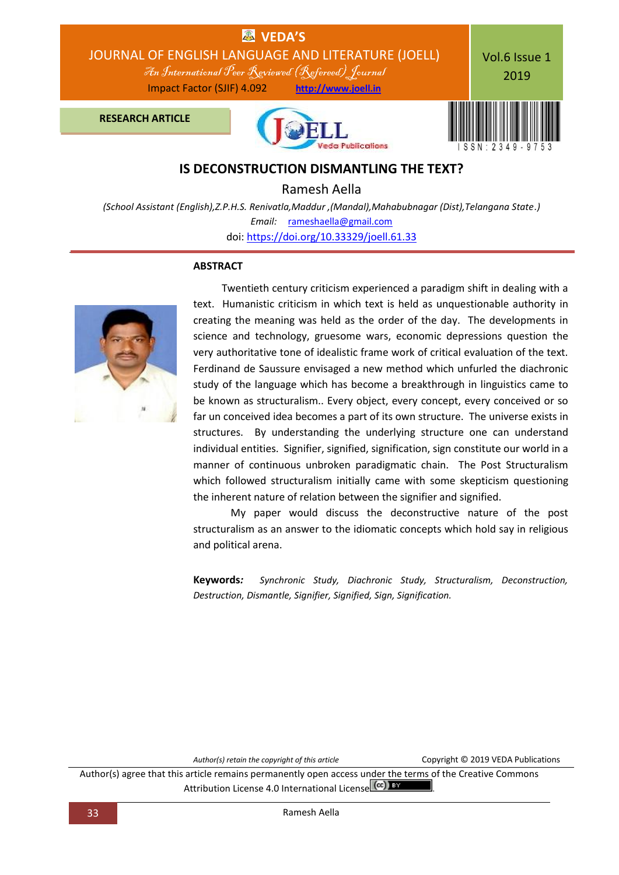

### **IS DECONSTRUCTION DISMANTLING THE TEXT?**

Ramesh Aella

*(School Assistant (English),Z.P.H.S. Renivatla,Maddur ,(Mandal),Mahabubnagar (Dist),Telangana State.) Email:* [rameshaella@gmail.com](mailto:rameshaella@gmail.com) doi: [https://doi.org/10.33329/joell.61.33](http://joell.in/vol-6-issue-1-2019/)

#### **ABSTRACT**



 Twentieth century criticism experienced a paradigm shift in dealing with a text. Humanistic criticism in which text is held as unquestionable authority in creating the meaning was held as the order of the day. The developments in science and technology, gruesome wars, economic depressions question the very authoritative tone of idealistic frame work of critical evaluation of the text. Ferdinand de Saussure envisaged a new method which unfurled the diachronic study of the language which has become a breakthrough in linguistics came to be known as structuralism.. Every object, every concept, every conceived or so far un conceived idea becomes a part of its own structure. The universe exists in structures. By understanding the underlying structure one can understand individual entities. Signifier, signified, signification, sign constitute our world in a manner of continuous unbroken paradigmatic chain. The Post Structuralism which followed structuralism initially came with some skepticism questioning the inherent nature of relation between the signifier and signified.

My paper would discuss the deconstructive nature of the post structuralism as an answer to the idiomatic concepts which hold say in religious and political arena.

**Keywords***: Synchronic Study, Diachronic Study, Structuralism, Deconstruction, Destruction, Dismantle, Signifier, Signified, Sign, Signification.*

Author(s) retain the copyright of this article **COPYRIGHT COPY** COPYright © 2019 VEDA Publications

Author(s) agree that this article remains permanently open access under the terms of the Creative Commons Attribution License 4.0 International License (cc) BY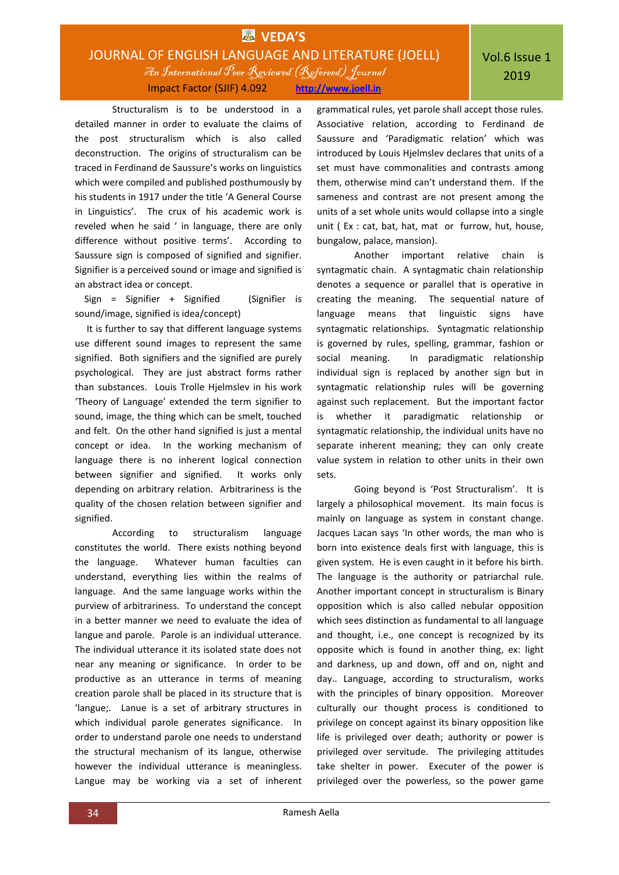# **EX** VEDA'S JOURNAL OF ENGLISH LANGUAGE AND LITERATURE (JOELL) An International Peer Reviewed (Refereed)Journal Impact Factor (SJIF) 4.092 **http://www.joell.in**

Structuralism is to be understood in a detailed manner in order to evaluate the claims of the post structuralism which is also called deconstruction. The origins of structuralism can be traced in Ferdinand de Saussure's works on linguistics which were compiled and published posthumously by his students in 1917 under the title 'A General Course in Linguistics'. The crux of his academic work is reveled when he said ' in language, there are only difference without positive terms'. According to Saussure sign is composed of signified and signifier. Signifier is a perceived sound or image and signified is an abstract idea or concept.

 Sign = Signifier + Signified (Signifier is sound/image, signified is idea/concept)

 It is further to say that different language systems use different sound images to represent the same signified. Both signifiers and the signified are purely psychological. They are just abstract forms rather than substances. Louis Trolle Hjelmslev in his work 'Theory of Language' extended the term signifier to sound, image, the thing which can be smelt, touched and felt. On the other hand signified is just a mental concept or idea. In the working mechanism of language there is no inherent logical connection between signifier and signified. It works only depending on arbitrary relation. Arbitrariness is the quality of the chosen relation between signifier and signified.

According to structuralism language constitutes the world. There exists nothing beyond the language. Whatever human faculties can understand, everything lies within the realms of language. And the same language works within the purview of arbitrariness. To understand the concept in a better manner we need to evaluate the idea of langue and parole. Parole is an individual utterance. The individual utterance it its isolated state does not near any meaning or significance. In order to be productive as an utterance in terms of meaning creation parole shall be placed in its structure that is 'langue;. Lanue is a set of arbitrary structures in which individual parole generates significance. In order to understand parole one needs to understand the structural mechanism of its langue, otherwise however the individual utterance is meaningless. Langue may be working via a set of inherent

grammatical rules, yet parole shall accept those rules. Associative relation, according to Ferdinand de Saussure and 'Paradigmatic relation' which was introduced by Louis Hjelmslev declares that units of a set must have commonalities and contrasts among them, otherwise mind can't understand them. If the sameness and contrast are not present among the units of a set whole units would collapse into a single unit ( Ex : cat, bat, hat, mat or furrow, hut, house, bungalow, palace, mansion).

Another important relative chain is syntagmatic chain. A syntagmatic chain relationship denotes a sequence or parallel that is operative in creating the meaning. The sequential nature of language means that linguistic signs have syntagmatic relationships. Syntagmatic relationship is governed by rules, spelling, grammar, fashion or social meaning. In paradigmatic relationship individual sign is replaced by another sign but in syntagmatic relationship rules will be governing against such replacement. But the important factor is whether it paradigmatic relationship or syntagmatic relationship, the individual units have no separate inherent meaning; they can only create value system in relation to other units in their own sets.

Going beyond is 'Post Structuralism'. It is largely a philosophical movement. Its main focus is mainly on language as system in constant change. Jacques Lacan says 'In other words, the man who is born into existence deals first with language, this is given system. He is even caught in it before his birth. The language is the authority or patriarchal rule. Another important concept in structuralism is Binary opposition which is also called nebular opposition which sees distinction as fundamental to all language and thought, i.e., one concept is recognized by its opposite which is found in another thing, ex: light and darkness, up and down, off and on, night and day.. Language, according to structuralism, works with the principles of binary opposition. Moreover culturally our thought process is conditioned to privilege on concept against its binary opposition like life is privileged over death; authority or power is privileged over servitude. The privileging attitudes take shelter in power. Executer of the power is privileged over the powerless, so the power game